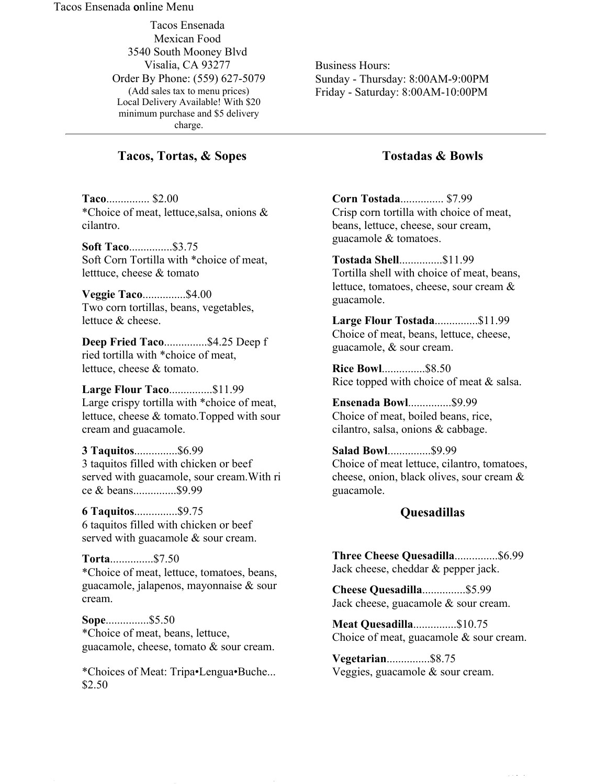#### Tacos Ensenada online Menu

Tacos Ensenada Mexican Food 3540 South Mooney Blvd Visalia, CA 93277 Order By Phone: (559) 627-5079 (Add sales tax to menu prices) Local Delivery Available! With \$20 minimum purchase and \$5 delivery charge.

## **Tacos, Tortas, & Sopes**

**Taco**............... \$2.00 \*Choice of meat, lettuce,salsa, onions & cilantro.

**Soft Taco**...............\$3.75 Soft Corn Tortilla with \*choice of meat, letttuce, cheese & tomato

**Veggie Taco**...............\$4.00 Two corn tortillas, beans, vegetables, lettuce & cheese.

**Deep Fried Taco**...............\$4.25 Deep f ried tortilla with \*choice of meat, lettuce, cheese & tomato.

**Large Flour Taco**...............\$11.99 Large crispy tortilla with \*choice of meat, lettuce, cheese & tomato.Topped with sour cream and guacamole.

**3 Taquitos**...............\$6.99 3 taquitos filled with chicken or beef served with guacamole, sour cream.With ri ce & beans...............\$9.99

**6 Taquitos**...............\$9.75 6 taquitos filled with chicken or beef served with guacamole & sour cream.

**Torta**...............\$7.50 \*Choice of meat, lettuce, tomatoes, beans, guacamole, jalapenos, mayonnaise & sour cream.

**Sope**...............\$5.50 \*Choice of meat, beans, lettuce, guacamole, cheese, tomato & sour cream.

\*Choices of Meat: Tripa•Lengua•Buche... \$2.50

Business Hours: Sunday - Thursday: 8:00AM-9:00PM Friday - Saturday: 8:00AM-10:00PM

# **Tostadas & Bowls**

**Corn Tostada**............... \$7.99 Crisp corn tortilla with choice of meat, beans, lettuce, cheese, sour cream, guacamole & tomatoes.

**Tostada Shell**...............\$11.99 Tortilla shell with choice of meat, beans, lettuce, tomatoes, cheese, sour cream & guacamole.

**Large Flour Tostada**...............\$11.99 Choice of meat, beans, lettuce, cheese, guacamole, & sour cream.

**Rice Bowl**...............\$8.50 Rice topped with choice of meat & salsa.

**Ensenada Bowl**...............\$9.99 Choice of meat, boiled beans, rice, cilantro, salsa, onions & cabbage.

**Salad Bowl**...............\$9.99 Choice of meat lettuce, cilantro, tomatoes, cheese, onion, black olives, sour cream & guacamole.

### **Quesadillas**

**Three Cheese Quesadilla**...............\$6.99 Jack cheese, cheddar & pepper jack.

**Cheese Quesadilla**...............\$5.99 Jack cheese, guacamole & sour cream.

**Meat Quesadilla**...............\$10.75 Choice of meat, guacamole & sour cream.

**Vegetarian**...............\$8.75 Veggies, guacamole & sour cream.

file:///C:/Users/CyberScape/Desktop/Docs/TacosEnsenada/PrintableMenu.htm 7/17/2018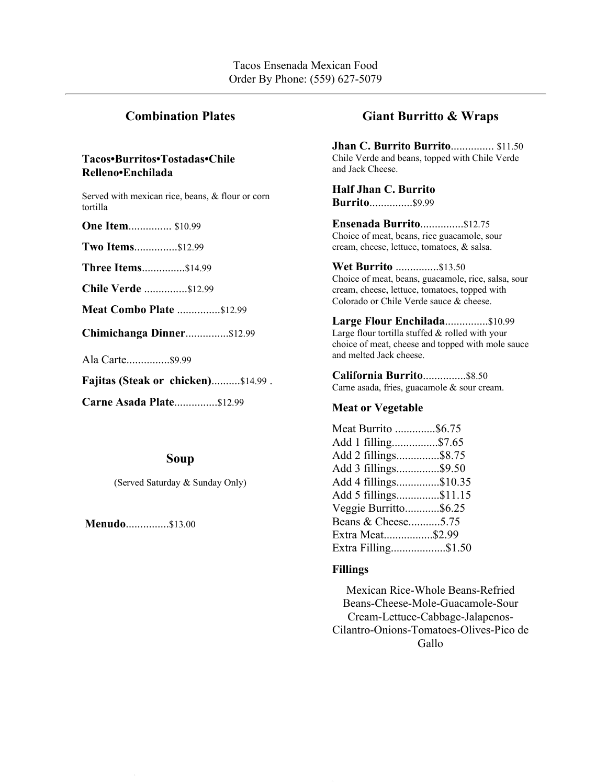# **Combination Plates**

### **Tacos•Burritos•Tostadas•Chile Relleno•Enchilada**

Served with mexican rice, beans, & flour or corn tortilla

**One Item...............** \$10.99

**Two Items**...............\$12.99

**Three Items**...............\$14.99

**Chile Verde** ...............\$12.99

**Meat Combo Plate** ...............\$12.99

**Chimichanga Dinner**...............\$12.99

Ala Carte...............\$9.99

**Fajitas (Steak or chicken)**..........\$14.99 .

**Carne Asada Plate**...............\$12.99

### **Soup**

(Served Saturday & Sunday Only)

**Menudo**...............\$13.00

# **Giant Burritto & Wraps**

**Jhan C. Burrito Burrito**............... \$11.50 Chile Verde and beans, topped with Chile Verde and Jack Cheese.

**Half Jhan C. Burrito Burrito**...............\$9.99

**Ensenada Burrito**...............\$12.75 Choice of meat, beans, rice guacamole, sour cream, cheese, lettuce, tomatoes, & salsa.

#### **Wet Burrito** ...............\$13.50

Choice of meat, beans, guacamole, rice, salsa, sour cream, cheese, lettuce, tomatoes, topped with Colorado or Chile Verde sauce & cheese.

**Large Flour Enchilada**...............\$10.99 Large flour tortilla stuffed & rolled with your choice of meat, cheese and topped with mole sauce and melted Jack cheese.

**California Burrito**...............\$8.50 Carne asada, fries, guacamole & sour cream.

#### **Meat or Vegetable**

| Meat Burrito \$6.75   |  |
|-----------------------|--|
| Add 1 filling\$7.65   |  |
| Add 2 fillings\$8.75  |  |
| Add 3 fillings\$9.50  |  |
| Add 4 fillings\$10.35 |  |
| Add 5 fillings\$11.15 |  |
| Veggie Burritto\$6.25 |  |
| Beans & Cheese5.75    |  |
| Extra Meat\$2.99      |  |
| Extra Filling\$1.50   |  |
|                       |  |

#### **Fillings**

Mexican Rice-Whole Beans-Refried Beans-Cheese-Mole-Guacamole-Sour Cream-Lettuce-Cabbage-Jalapenos-Cilantro-Onions-Tomatoes-Olives-Pico de Gallo